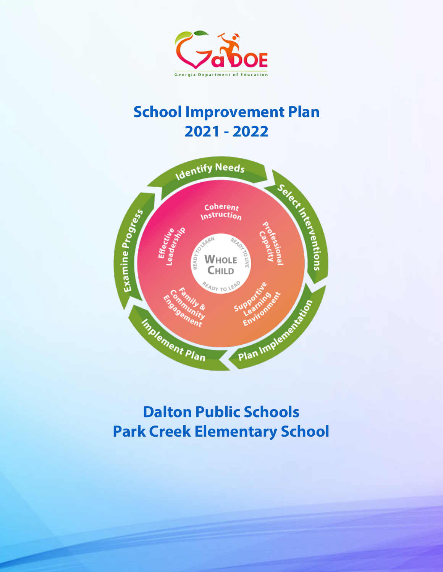

# **School Improvement Plan 2021 - 2022**



# **Dalton Public Schools Park Creek Elementary School**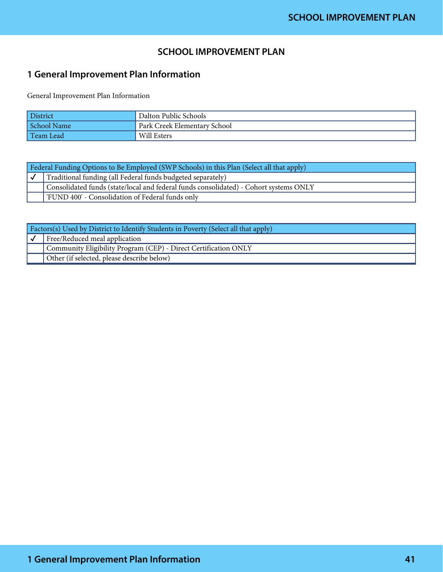### **SCHOOL IMPROVEMENT PLAN**

# **1 General Improvement Plan Information**

General Improvement Plan Information

| District    | Dalton Public Schools        |
|-------------|------------------------------|
| School Name | Park Creek Elementary School |
| Team Lead   | Will Esters                  |

| Federal Funding Options to Be Employed (SWP Schools) in this Plan (Select all that apply) |                                                                                       |  |
|-------------------------------------------------------------------------------------------|---------------------------------------------------------------------------------------|--|
|                                                                                           | Traditional funding (all Federal funds budgeted separately)                           |  |
|                                                                                           | Consolidated funds (state/local and federal funds consolidated) - Cohort systems ONLY |  |
|                                                                                           | FUND 400' - Consolidation of Federal funds only                                       |  |

| Factors(s) Used by District to Identify Students in Poverty (Select all that apply) |                                                                 |  |
|-------------------------------------------------------------------------------------|-----------------------------------------------------------------|--|
|                                                                                     | Free/Reduced meal application                                   |  |
|                                                                                     | Community Eligibility Program (CEP) - Direct Certification ONLY |  |
|                                                                                     | Other (if selected, please describe below)                      |  |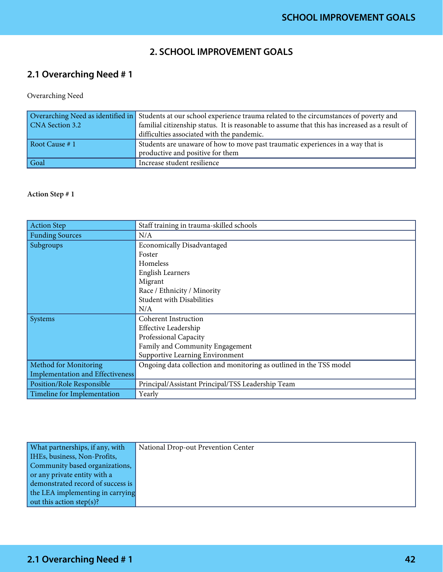### **2. SCHOOL IMPROVEMENT GOALS**

# **2.1 Overarching Need # 1**

Overarching Need

|                 | Overarching Need as identified in Students at our school experience trauma related to the circumstances of poverty and |
|-----------------|------------------------------------------------------------------------------------------------------------------------|
| CNA Section 3.2 | familial citizenship status. It is reasonable to assume that this has increased as a result of                         |
|                 | difficulties associated with the pandemic.                                                                             |
| Root Cause # 1  | Students are unaware of how to move past traumatic experiences in a way that is                                        |
|                 | productive and positive for them                                                                                       |
| Goal            | Increase student resilience                                                                                            |

| <b>Action Step</b>               | Staff training in trauma-skilled schools                            |
|----------------------------------|---------------------------------------------------------------------|
| <b>Funding Sources</b>           | N/A                                                                 |
| Subgroups                        | <b>Economically Disadvantaged</b>                                   |
|                                  | Foster                                                              |
|                                  | Homeless                                                            |
|                                  | <b>English Learners</b>                                             |
|                                  | Migrant                                                             |
|                                  | Race / Ethnicity / Minority                                         |
|                                  | <b>Student with Disabilities</b>                                    |
|                                  | N/A                                                                 |
| Systems                          | <b>Coherent Instruction</b>                                         |
|                                  | <b>Effective Leadership</b>                                         |
|                                  | Professional Capacity                                               |
|                                  | Family and Community Engagement                                     |
|                                  | Supportive Learning Environment                                     |
| Method for Monitoring            | Ongoing data collection and monitoring as outlined in the TSS model |
| Implementation and Effectiveness |                                                                     |
| Position/Role Responsible        | Principal/Assistant Principal/TSS Leadership Team                   |
| Timeline for Implementation      | Yearly                                                              |

| What partnerships, if any, with   | National Drop-out Prevention Center |
|-----------------------------------|-------------------------------------|
| IHEs, business, Non-Profits,      |                                     |
| Community based organizations,    |                                     |
| or any private entity with a      |                                     |
| demonstrated record of success is |                                     |
| the LEA implementing in carrying  |                                     |
| out this action step(s)?          |                                     |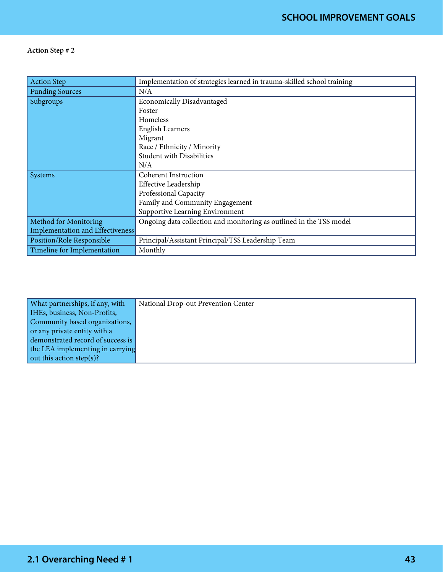| <b>Action Step</b>               | Implementation of strategies learned in trauma-skilled school training |
|----------------------------------|------------------------------------------------------------------------|
| <b>Funding Sources</b>           | N/A                                                                    |
| Subgroups                        | <b>Economically Disadvantaged</b>                                      |
|                                  | Foster                                                                 |
|                                  | Homeless                                                               |
|                                  | <b>English Learners</b>                                                |
|                                  | Migrant                                                                |
|                                  | Race / Ethnicity / Minority                                            |
|                                  | <b>Student with Disabilities</b>                                       |
|                                  | N/A                                                                    |
| Systems                          | Coherent Instruction                                                   |
|                                  | Effective Leadership                                                   |
|                                  | Professional Capacity                                                  |
|                                  | Family and Community Engagement                                        |
|                                  | Supportive Learning Environment                                        |
| Method for Monitoring            | Ongoing data collection and monitoring as outlined in the TSS model    |
| Implementation and Effectiveness |                                                                        |
| Position/Role Responsible        | Principal/Assistant Principal/TSS Leadership Team                      |
| Timeline for Implementation      | Monthly                                                                |

| What partnerships, if any, with   | National Drop-out Prevention Center |
|-----------------------------------|-------------------------------------|
| IHEs, business, Non-Profits,      |                                     |
| Community based organizations,    |                                     |
| or any private entity with a      |                                     |
| demonstrated record of success is |                                     |
| the LEA implementing in carrying  |                                     |
| out this action step(s)?          |                                     |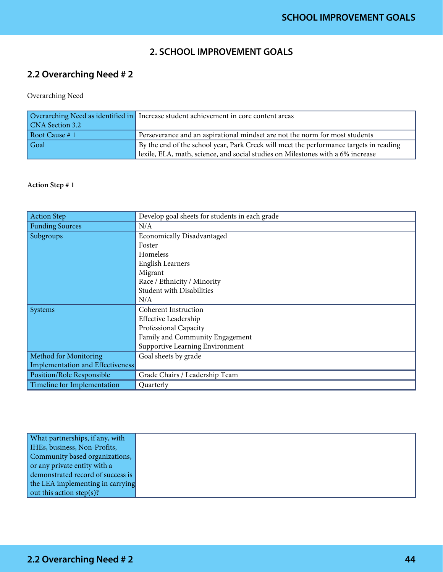### **2. SCHOOL IMPROVEMENT GOALS**

# **2.2 Overarching Need # 2**

Overarching Need

|                 | Overarching Need as identified in Increase student achievement in core content areas   |
|-----------------|----------------------------------------------------------------------------------------|
| CNA Section 3.2 |                                                                                        |
| Root Cause # 1  | Perseverance and an aspirational mindset are not the norm for most students            |
| Goal            | By the end of the school year, Park Creek will meet the performance targets in reading |
|                 | lexile, ELA, math, science, and social studies on Milestones with a 6% increase        |

| <b>Action Step</b>               | Develop goal sheets for students in each grade |
|----------------------------------|------------------------------------------------|
| <b>Funding Sources</b>           | N/A                                            |
| Subgroups                        | <b>Economically Disadvantaged</b>              |
|                                  | Foster                                         |
|                                  | Homeless                                       |
|                                  | <b>English Learners</b>                        |
|                                  | Migrant                                        |
|                                  | Race / Ethnicity / Minority                    |
|                                  | <b>Student with Disabilities</b>               |
|                                  | N/A                                            |
| Systems                          | Coherent Instruction                           |
|                                  | <b>Effective Leadership</b>                    |
|                                  | Professional Capacity                          |
|                                  | Family and Community Engagement                |
|                                  | Supportive Learning Environment                |
| Method for Monitoring            | Goal sheets by grade                           |
| Implementation and Effectiveness |                                                |
| Position/Role Responsible        | Grade Chairs / Leadership Team                 |
| Timeline for Implementation      | Quarterly                                      |

| What partnerships, if any, with   |
|-----------------------------------|
| IHEs, business, Non-Profits,      |
| Community based organizations,    |
| or any private entity with a      |
| demonstrated record of success is |
| the LEA implementing in carrying  |
| out this action step(s)?          |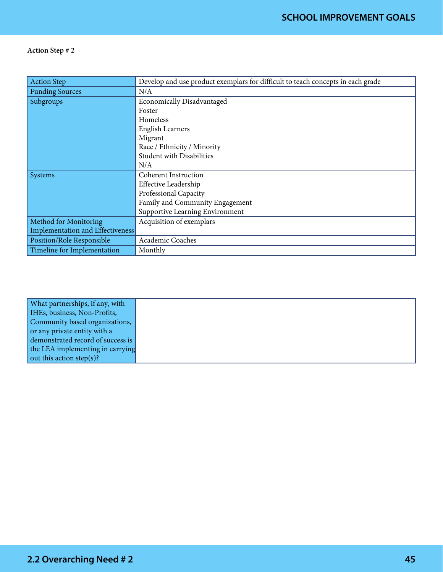| <b>Action Step</b>               | Develop and use product exemplars for difficult to teach concepts in each grade |
|----------------------------------|---------------------------------------------------------------------------------|
| <b>Funding Sources</b>           | N/A                                                                             |
| Subgroups                        | <b>Economically Disadvantaged</b>                                               |
|                                  | Foster                                                                          |
|                                  | Homeless                                                                        |
|                                  | <b>English Learners</b>                                                         |
|                                  | Migrant                                                                         |
|                                  | Race / Ethnicity / Minority                                                     |
|                                  | <b>Student with Disabilities</b>                                                |
|                                  | N/A                                                                             |
| Systems                          | Coherent Instruction                                                            |
|                                  | Effective Leadership                                                            |
|                                  | Professional Capacity                                                           |
|                                  | Family and Community Engagement                                                 |
|                                  | Supportive Learning Environment                                                 |
| <b>Method for Monitoring</b>     | Acquisition of exemplars                                                        |
| Implementation and Effectiveness |                                                                                 |
| <b>Position/Role Responsible</b> | Academic Coaches                                                                |
| Timeline for Implementation      | Monthly                                                                         |

| What partnerships, if any, with   |
|-----------------------------------|
| IHEs, business, Non-Profits,      |
| Community based organizations,    |
| or any private entity with a      |
| demonstrated record of success is |
| the LEA implementing in carrying  |
| out this action step(s)?          |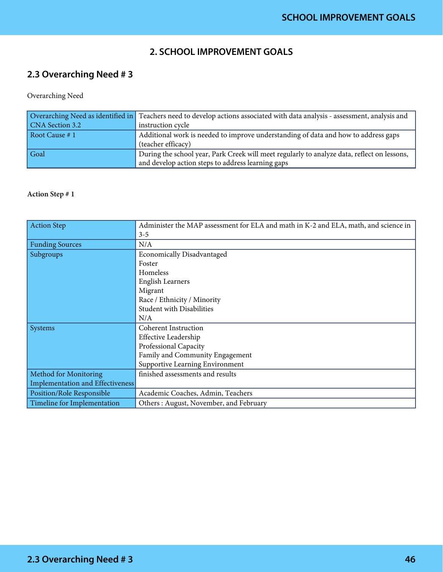### **2. SCHOOL IMPROVEMENT GOALS**

# **2.3 Overarching Need # 3**

Overarching Need

|                        | Overarching Need as identified in Teachers need to develop actions associated with data analysis - assessment, analysis and |
|------------------------|-----------------------------------------------------------------------------------------------------------------------------|
| <b>CNA</b> Section 3.2 | instruction cycle                                                                                                           |
| Root Cause # 1         | Additional work is needed to improve understanding of data and how to address gaps                                          |
|                        | (teacher efficacy)                                                                                                          |
| Goal                   | During the school year, Park Creek will meet regularly to analyze data, reflect on lessons,                                 |
|                        | and develop action steps to address learning gaps                                                                           |

| <b>Action Step</b>                      | Administer the MAP assessment for ELA and math in K-2 and ELA, math, and science in |
|-----------------------------------------|-------------------------------------------------------------------------------------|
|                                         | $3 - 5$                                                                             |
| <b>Funding Sources</b>                  | N/A                                                                                 |
| Subgroups                               | <b>Economically Disadvantaged</b>                                                   |
|                                         | Foster                                                                              |
|                                         | Homeless                                                                            |
|                                         | <b>English Learners</b>                                                             |
|                                         | Migrant                                                                             |
|                                         | Race / Ethnicity / Minority                                                         |
|                                         | <b>Student with Disabilities</b>                                                    |
|                                         | N/A                                                                                 |
| Systems                                 | <b>Coherent Instruction</b>                                                         |
|                                         | <b>Effective Leadership</b>                                                         |
|                                         | Professional Capacity                                                               |
|                                         | Family and Community Engagement                                                     |
|                                         | Supportive Learning Environment                                                     |
| Method for Monitoring                   | finished assessments and results                                                    |
| <b>Implementation and Effectiveness</b> |                                                                                     |
| <b>Position/Role Responsible</b>        | Academic Coaches, Admin, Teachers                                                   |
| Timeline for Implementation             | Others: August, November, and February                                              |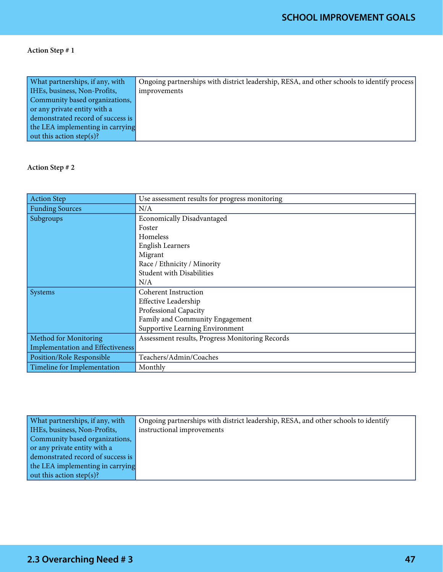| What partnerships, if any, with   | Ongoing partnerships with district leadership, RESA, and other schools to identify process |
|-----------------------------------|--------------------------------------------------------------------------------------------|
| IHEs, business, Non-Profits,      | improvements                                                                               |
| Community based organizations,    |                                                                                            |
| or any private entity with a      |                                                                                            |
| demonstrated record of success is |                                                                                            |
| the LEA implementing in carrying  |                                                                                            |
| out this action step(s)?          |                                                                                            |

| <b>Action Step</b>               | Use assessment results for progress monitoring  |
|----------------------------------|-------------------------------------------------|
| <b>Funding Sources</b>           | N/A                                             |
| Subgroups                        | <b>Economically Disadvantaged</b>               |
|                                  | Foster                                          |
|                                  | Homeless                                        |
|                                  | <b>English Learners</b>                         |
|                                  | Migrant                                         |
|                                  | Race / Ethnicity / Minority                     |
|                                  | <b>Student with Disabilities</b>                |
|                                  | N/A                                             |
| <b>Systems</b>                   | <b>Coherent Instruction</b>                     |
|                                  | Effective Leadership                            |
|                                  | Professional Capacity                           |
|                                  | Family and Community Engagement                 |
|                                  | Supportive Learning Environment                 |
| Method for Monitoring            | Assessment results, Progress Monitoring Records |
| Implementation and Effectiveness |                                                 |
| Position/Role Responsible        | Teachers/Admin/Coaches                          |
| Timeline for Implementation      | Monthly                                         |

| What partnerships, if any, with   | Ongoing partnerships with district leadership, RESA, and other schools to identify |
|-----------------------------------|------------------------------------------------------------------------------------|
| IHEs, business, Non-Profits,      | instructional improvements                                                         |
| Community based organizations,    |                                                                                    |
| or any private entity with a      |                                                                                    |
| demonstrated record of success is |                                                                                    |
| the LEA implementing in carrying  |                                                                                    |
| out this action step(s)?          |                                                                                    |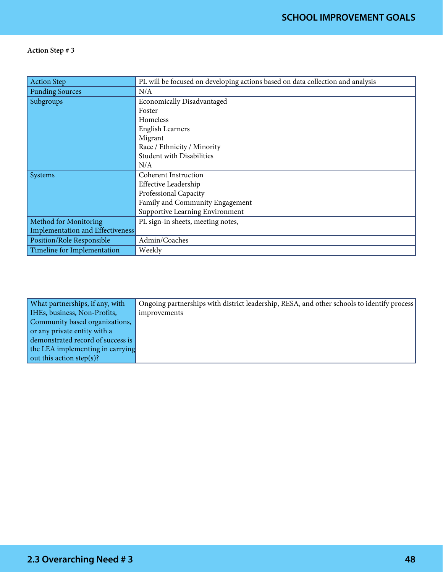| <b>Action Step</b>               | PL will be focused on developing actions based on data collection and analysis |  |
|----------------------------------|--------------------------------------------------------------------------------|--|
| <b>Funding Sources</b>           | N/A                                                                            |  |
| Subgroups                        | <b>Economically Disadvantaged</b>                                              |  |
|                                  | Foster                                                                         |  |
|                                  | <b>Homeless</b>                                                                |  |
|                                  | <b>English Learners</b>                                                        |  |
|                                  | Migrant                                                                        |  |
|                                  | Race / Ethnicity / Minority                                                    |  |
|                                  | <b>Student with Disabilities</b>                                               |  |
|                                  | N/A                                                                            |  |
| Systems                          | Coherent Instruction                                                           |  |
|                                  | Effective Leadership                                                           |  |
|                                  | Professional Capacity                                                          |  |
|                                  | Family and Community Engagement                                                |  |
|                                  | Supportive Learning Environment                                                |  |
| Method for Monitoring            | PL sign-in sheets, meeting notes,                                              |  |
| Implementation and Effectiveness |                                                                                |  |
| <b>Position/Role Responsible</b> | Admin/Coaches                                                                  |  |
| Timeline for Implementation      | Weekly                                                                         |  |

| What partnerships, if any, with   | Ongoing partnerships with district leadership, RESA, and other schools to identify process |
|-----------------------------------|--------------------------------------------------------------------------------------------|
| IHEs, business, Non-Profits,      | improvements                                                                               |
| Community based organizations,    |                                                                                            |
| or any private entity with a      |                                                                                            |
| demonstrated record of success is |                                                                                            |
| the LEA implementing in carrying  |                                                                                            |
| out this action step(s)?          |                                                                                            |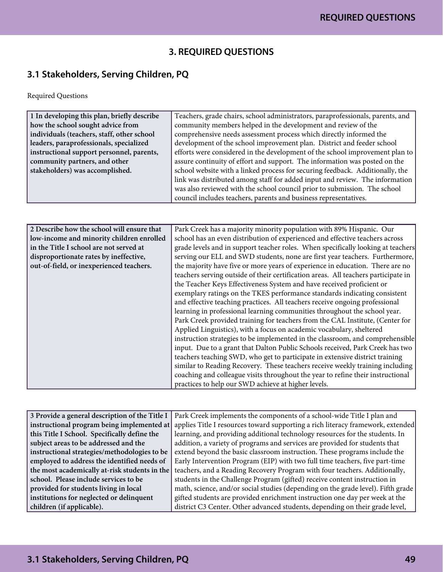### **3. REQUIRED QUESTIONS**

# **3.1 Stakeholders, Serving Children, PQ**

#### Required Questions

| 1 In developing this plan, briefly describe | Teachers, grade chairs, school administrators, paraprofessionals, parents, and |
|---------------------------------------------|--------------------------------------------------------------------------------|
| how the school sought advice from           | community members helped in the development and review of the                  |
| individuals (teachers, staff, other school  | comprehensive needs assessment process which directly informed the             |
| leaders, paraprofessionals, specialized     | development of the school improvement plan. District and feeder school         |
| instructional support personnel, parents,   | efforts were considered in the development of the school improvement plan to   |
| community partners, and other               | assure continuity of effort and support. The information was posted on the     |
| stakeholders) was accomplished.             | school website with a linked process for securing feedback. Additionally, the  |
|                                             | link was distributed among staff for added input and review. The information   |
|                                             | was also reviewed with the school council prior to submission. The school      |
|                                             | council includes teachers, parents and business representatives.               |

| 2 Describe how the school will ensure that | Park Creek has a majority minority population with 89% Hispanic. Our               |
|--------------------------------------------|------------------------------------------------------------------------------------|
| low-income and minority children enrolled  | school has an even distribution of experienced and effective teachers across       |
| in the Title I school are not served at    | grade levels and in support teacher roles. When specifically looking at teachers   |
| disproportionate rates by ineffective,     | serving our ELL and SWD students, none are first year teachers. Furthermore,       |
| out-of-field, or inexperienced teachers.   | the majority have five or more years of experience in education. There are no      |
|                                            | teachers serving outside of their certification areas. All teachers participate in |
|                                            | the Teacher Keys Effectiveness System and have received proficient or              |
|                                            | exemplary ratings on the TKES performance standards indicating consistent          |
|                                            | and effective teaching practices. All teachers receive ongoing professional        |
|                                            | learning in professional learning communities throughout the school year.          |
|                                            | Park Creek provided training for teachers from the CAL Institute, (Center for      |
|                                            | Applied Linguistics), with a focus on academic vocabulary, sheltered               |
|                                            | instruction strategies to be implemented in the classroom, and comprehensible      |
|                                            | input. Due to a grant that Dalton Public Schools received, Park Creek has two      |
|                                            | teachers teaching SWD, who get to participate in extensive district training       |
|                                            | similar to Reading Recovery. These teachers receive weekly training including      |
|                                            | coaching and colleague visits throughout the year to refine their instructional    |
|                                            | practices to help our SWD achieve at higher levels.                                |

| 3 Provide a general description of the Title I | Park Creek implements the components of a school-wide Title I plan and                                                     |
|------------------------------------------------|----------------------------------------------------------------------------------------------------------------------------|
|                                                | instructional program being implemented at applies Title I resources toward supporting a rich literacy framework, extended |
| this Title I School. Specifically define the   | learning, and providing additional technology resources for the students. In                                               |
| subject areas to be addressed and the          | addition, a variety of programs and services are provided for students that                                                |
| instructional strategies/methodologies to be   | extend beyond the basic classroom instruction. These programs include the                                                  |
| employed to address the identified needs of    | Early Intervention Program (EIP) with two full time teachers, five part-time                                               |
| the most academically at-risk students in the  | teachers, and a Reading Recovery Program with four teachers. Additionally,                                                 |
| school. Please include services to be          | students in the Challenge Program (gifted) receive content instruction in                                                  |
| provided for students living in local          | math, science, and/or social studies (depending on the grade level). Fifth grade                                           |
| institutions for neglected or delinquent       | gifted students are provided enrichment instruction one day per week at the                                                |
| children (if applicable).                      | district C3 Center. Other advanced students, depending on their grade level,                                               |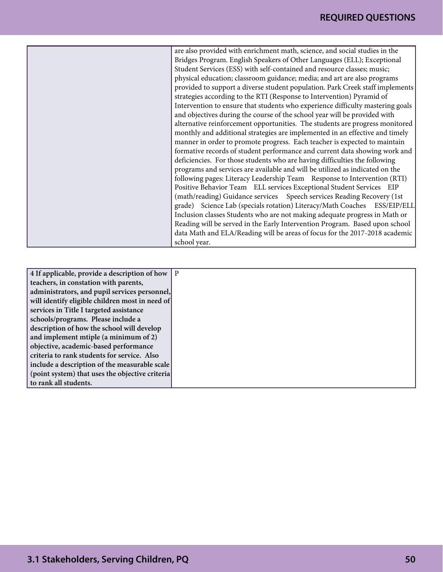are also provided with enrichment math, science, and social studies in the Bridges Program. English Speakers of Other Languages (ELL); Exceptional Student Services (ESS) with self-contained and resource classes; music; physical education; classroom guidance; media; and art are also programs provided to support a diverse student population. Park Creek staff implements strategies according to the RTI (Response to Intervention) Pyramid of Intervention to ensure that students who experience difficulty mastering goals and objectives during the course of the school year will be provided with alternative reinforcement opportunities. The students are progress monitored monthly and additional strategies are implemented in an effective and timely manner in order to promote progress. Each teacher is expected to maintain formative records of student performance and current data showing work and deficiencies. For those students who are having difficulties the following programs and services are available and will be utilized as indicated on the following pages: Literacy Leadership Team Response to Intervention (RTI) Positive Behavior Team ELL services Exceptional Student Services EIP (math/reading) Guidance services Speech services Reading Recovery (1st grade) Science Lab (specials rotation) Literacy/Math Coaches ESS/EIP/ELL Inclusion classes Students who are not making adequate progress in Math or Reading will be served in the Early Intervention Program. Based upon school data Math and ELA/Reading will be areas of focus for the 2017-2018 academic school year.

| 4 If applicable, provide a description of how $ P $ |  |
|-----------------------------------------------------|--|
| teachers, in constation with parents,               |  |
| administrators, and pupil services personnel,       |  |
| will identify eligible children most in need of     |  |
| services in Title I targeted assistance             |  |
| schools/programs. Please include a                  |  |
| description of how the school will develop          |  |
| and implement mtiple (a minimum of 2)               |  |
| objective, academic-based performance               |  |
| criteria to rank students for service. Also         |  |
| include a description of the measurable scale       |  |
| (point system) that uses the objective criteria     |  |
| to rank all students.                               |  |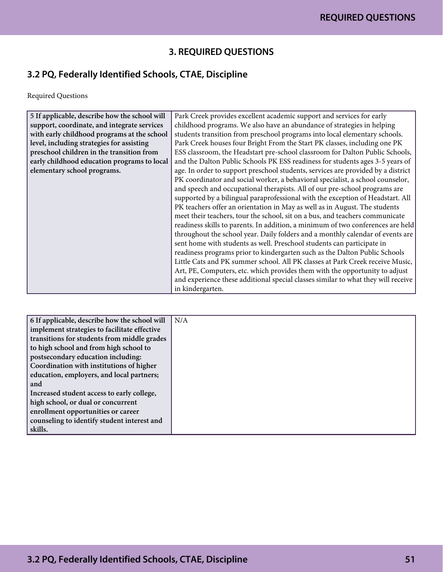# **3. REQUIRED QUESTIONS**

# **3.2 PQ, Federally Identified Schools, CTAE, Discipline**

Required Questions

| 5 If applicable, describe how the school will | Park Creek provides excellent academic support and services for early             |
|-----------------------------------------------|-----------------------------------------------------------------------------------|
| support, coordinate, and integrate services   | childhood programs. We also have an abundance of strategies in helping            |
| with early childhood programs at the school   | students transition from preschool programs into local elementary schools.        |
| level, including strategies for assisting     | Park Creek houses four Bright From the Start PK classes, including one PK         |
| preschool children in the transition from     | ESS classroom, the Headstart pre-school classroom for Dalton Public Schools,      |
| early childhood education programs to local   | and the Dalton Public Schools PK ESS readiness for students ages 3-5 years of     |
| elementary school programs.                   | age. In order to support preschool students, services are provided by a district  |
|                                               | PK coordinator and social worker, a behavioral specialist, a school counselor,    |
|                                               | and speech and occupational therapists. All of our pre-school programs are        |
|                                               | supported by a bilingual paraprofessional with the exception of Headstart. All    |
|                                               | PK teachers offer an orientation in May as well as in August. The students        |
|                                               | meet their teachers, tour the school, sit on a bus, and teachers communicate      |
|                                               | readiness skills to parents. In addition, a minimum of two conferences are held   |
|                                               | throughout the school year. Daily folders and a monthly calendar of events are    |
|                                               | sent home with students as well. Preschool students can participate in            |
|                                               | readiness programs prior to kindergarten such as the Dalton Public Schools        |
|                                               | Little Cats and PK summer school. All PK classes at Park Creek receive Music,     |
|                                               | Art, PE, Computers, etc. which provides them with the opportunity to adjust       |
|                                               | and experience these additional special classes similar to what they will receive |
|                                               | in kindergarten.                                                                  |

| 6 If applicable, describe how the school will | N/A |
|-----------------------------------------------|-----|
| implement strategies to facilitate effective  |     |
| transitions for students from middle grades   |     |
| to high school and from high school to        |     |
| postsecondary education including:            |     |
| Coordination with institutions of higher      |     |
| education, employers, and local partners;     |     |
| and                                           |     |
| Increased student access to early college,    |     |
| high school, or dual or concurrent            |     |
| enrollment opportunities or career            |     |
| counseling to identify student interest and   |     |
| skills.                                       |     |
|                                               |     |